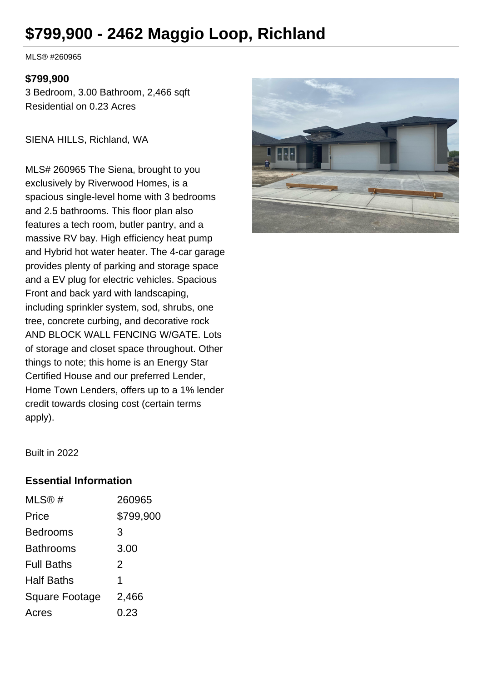# **\$799,900 - 2462 Maggio Loop, Richland**

MLS® #260965

#### **\$799,900**

3 Bedroom, 3.00 Bathroom, 2,466 sqft Residential on 0.23 Acres

SIENA HILLS, Richland, WA

MLS# 260965 The Siena, brought to you exclusively by Riverwood Homes, is a spacious single-level home with 3 bedrooms and 2.5 bathrooms. This floor plan also features a tech room, butler pantry, and a massive RV bay. High efficiency heat pump and Hybrid hot water heater. The 4-car garage provides plenty of parking and storage space and a EV plug for electric vehicles. Spacious Front and back yard with landscaping, including sprinkler system, sod, shrubs, one tree, concrete curbing, and decorative rock AND BLOCK WALL FENCING W/GATE. Lots of storage and closet space throughout. Other things to note; this home is an Energy Star Certified House and our preferred Lender, Home Town Lenders, offers up to a 1% lender credit towards closing cost (certain terms apply).



Built in 2022

#### **Essential Information**

| MLS@#                 | 260965    |
|-----------------------|-----------|
| Price                 | \$799,900 |
| <b>Bedrooms</b>       | 3         |
| <b>Bathrooms</b>      | 3.00      |
| <b>Full Baths</b>     | 2         |
| <b>Half Baths</b>     | 1         |
| <b>Square Footage</b> | 2,466     |
| Acres                 | 0.23      |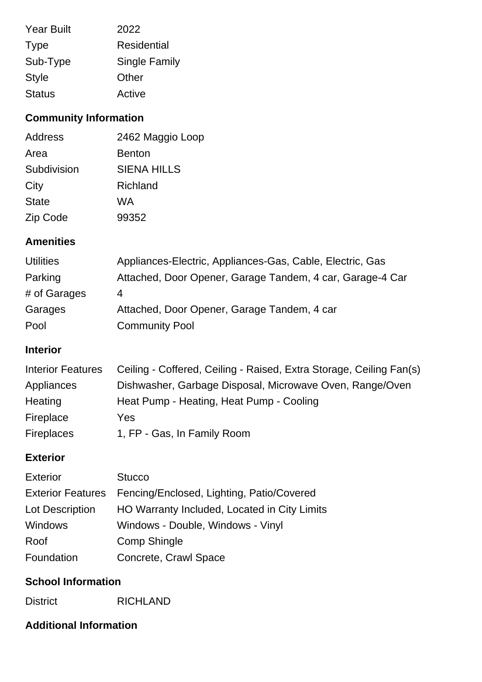| <b>Year Built</b> | 2022                 |
|-------------------|----------------------|
| <b>Type</b>       | <b>Residential</b>   |
| Sub-Type          | <b>Single Family</b> |
| <b>Style</b>      | Other                |
| <b>Status</b>     | Active               |

## **Community Information**

| 2462 Maggio Loop   |
|--------------------|
| <b>Benton</b>      |
| <b>SIENA HILLS</b> |
| Richland           |
| WA                 |
| 99352              |
|                    |

## **Amenities**

| <b>Utilities</b> | Appliances-Electric, Appliances-Gas, Cable, Electric, Gas |
|------------------|-----------------------------------------------------------|
| Parking          | Attached, Door Opener, Garage Tandem, 4 car, Garage-4 Car |
| # of Garages     | 4                                                         |
| Garages          | Attached, Door Opener, Garage Tandem, 4 car               |
| Pool             | <b>Community Pool</b>                                     |

### **Interior**

| <b>Interior Features</b> | Ceiling - Coffered, Ceiling - Raised, Extra Storage, Ceiling Fan(s) |
|--------------------------|---------------------------------------------------------------------|
| Appliances               | Dishwasher, Garbage Disposal, Microwave Oven, Range/Oven            |
| Heating                  | Heat Pump - Heating, Heat Pump - Cooling                            |
| Fireplace                | Yes                                                                 |
| <b>Fireplaces</b>        | 1, FP - Gas, In Family Room                                         |

#### **Exterior**

| <b>Exterior</b>          | <b>Stucco</b>                                |
|--------------------------|----------------------------------------------|
| <b>Exterior Features</b> | Fencing/Enclosed, Lighting, Patio/Covered    |
| Lot Description          | HO Warranty Included, Located in City Limits |
| <b>Windows</b>           | Windows - Double, Windows - Vinyl            |
| Roof                     | <b>Comp Shingle</b>                          |
| Foundation               | Concrete, Crawl Space                        |

#### **School Information**

District RICHLAND

#### **Additional Information**